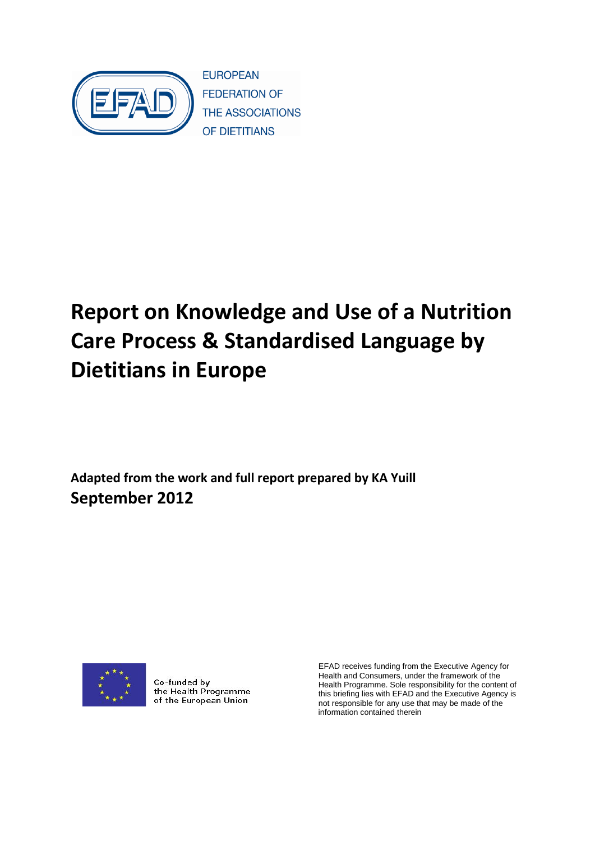

# **Report on Knowledge and Use of a Nutrition Care Process & Standardised Language by Dietitians in Europe**

**Adapted from the work and full report prepared by KA Yuill September 2012** 



Co-funded by the Health Programme of the European Union

EFAD receives funding from the Executive Agency for Health and Consumers, under the framework of the Health Programme. Sole responsibility for the content of this briefing lies with EFAD and the Executive Agency is not responsible for any use that may be made of the information contained therein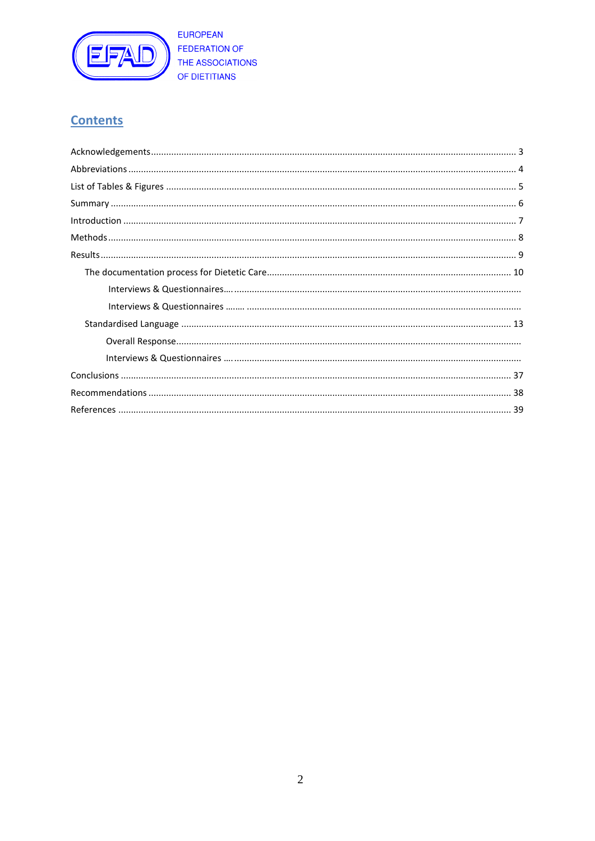

# **Contents**

<span id="page-1-0"></span>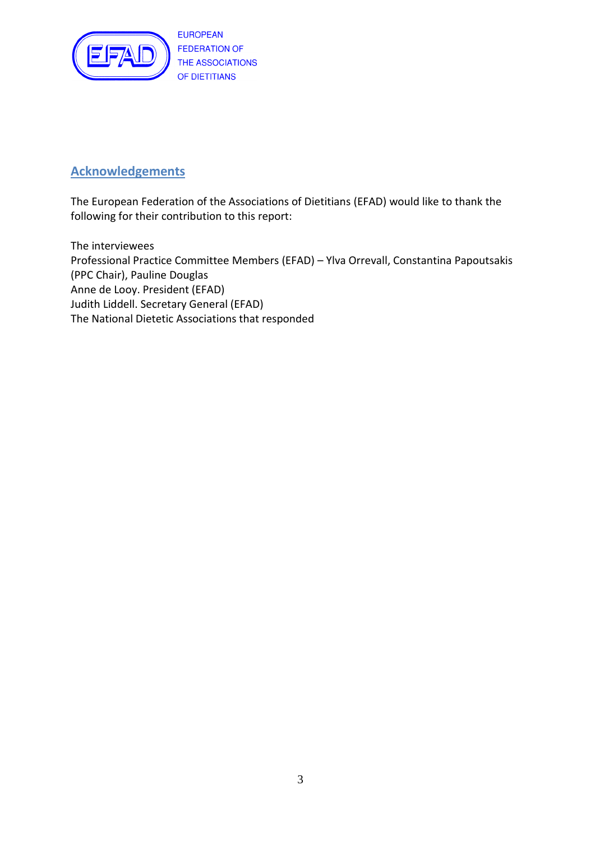

# **Acknowledgements**

The European Federation of the Associations of Dietitians (EFAD) would like to thank the following for their contribution to this report:

The interviewees Professional Practice Committee Members (EFAD) – Ylva Orrevall, Constantina Papoutsakis (PPC Chair), Pauline Douglas Anne de Looy. President (EFAD) Judith Liddell. Secretary General (EFAD) The National Dietetic Associations that responded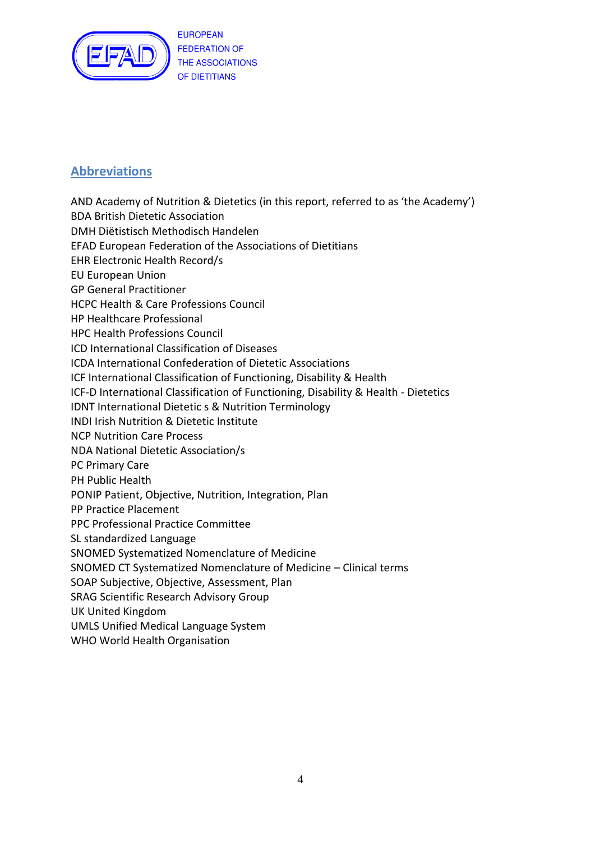

# **Abbreviations**

AND Academy of Nutrition & Dietetics (in this report, referred to as 'the Academy') BDA British Dietetic Association DMH Diёtistisch Methodisch Handelen EFAD European Federation of the Associations of Dietitians EHR Electronic Health Record/s EU European Union GP General Practitioner HCPC Health & Care Professions Council HP Healthcare Professional HPC Health Professions Council ICD International Classification of Diseases ICDA International Confederation of Dietetic Associations ICF International Classification of Functioning, Disability & Health ICF-D International Classification of Functioning, Disability & Health - Dietetics IDNT International Dietetic s & Nutrition Terminology INDI Irish Nutrition & Dietetic Institute NCP Nutrition Care Process NDA National Dietetic Association/s PC Primary Care PH Public Health PONIP Patient, Objective, Nutrition, Integration, Plan PP Practice Placement PPC Professional Practice Committee SL standardized Language SNOMED Systematized Nomenclature of Medicine SNOMED CT Systematized Nomenclature of Medicine – Clinical terms SOAP Subjective, Objective, Assessment, Plan SRAG Scientific Research Advisory Group UK United Kingdom UMLS Unified Medical Language System

WHO World Health Organisation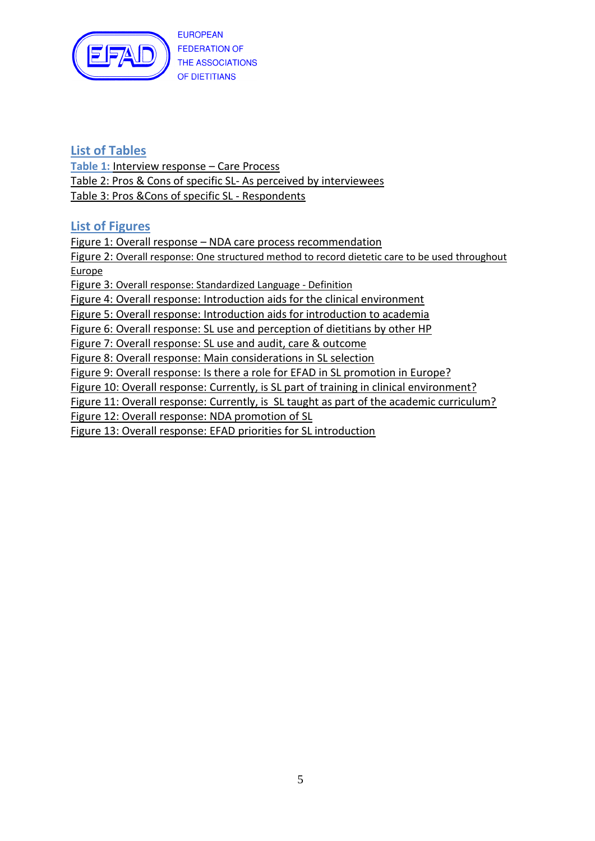

# **List of Tables**

**Table 1:** Interview response – Care Process Table 2: Pros & Cons of specific SL- As perceived by interviewees Table 3: Pros &Cons of specific SL - Respondents

# **List of Figures**

Figure 1: Overall response – NDA care process recommendation Figure 2: Overall response: One structured method to record dietetic care to be used throughout Europe Figure 3: Overall response: Standardized Language - Definition Figure 4: Overall response: Introduction aids for the clinical environment Figure 5: Overall response: Introduction aids for introduction to academia Figure 6: Overall response: SL use and perception of dietitians by other HP Figure 7: Overall response: SL use and audit, care & outcome Figure 8: Overall response: Main considerations in SL selection Figure 9: Overall response: Is there a role for EFAD in SL promotion in Europe? Figure 10: Overall response: Currently, is SL part of training in clinical environment? Figure 11: Overall response: Currently, is SL taught as part of the academic curriculum? Figure 12: Overall response: NDA promotion of SL Figure 13: Overall response: EFAD priorities for SL introduction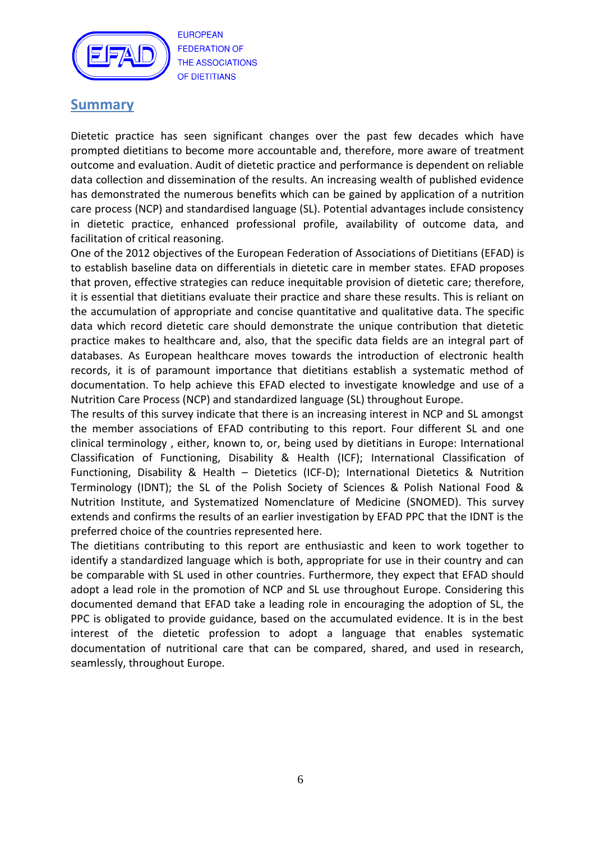

# **Summary**

Dietetic practice has seen significant changes over the past few decades which have prompted dietitians to become more accountable and, therefore, more aware of treatment outcome and evaluation. Audit of dietetic practice and performance is dependent on reliable data collection and dissemination of the results. An increasing wealth of published evidence has demonstrated the numerous benefits which can be gained by application of a nutrition care process (NCP) and standardised language (SL). Potential advantages include consistency in dietetic practice, enhanced professional profile, availability of outcome data, and facilitation of critical reasoning.

One of the 2012 objectives of the European Federation of Associations of Dietitians (EFAD) is to establish baseline data on differentials in dietetic care in member states. EFAD proposes that proven, effective strategies can reduce inequitable provision of dietetic care; therefore, it is essential that dietitians evaluate their practice and share these results. This is reliant on the accumulation of appropriate and concise quantitative and qualitative data. The specific data which record dietetic care should demonstrate the unique contribution that dietetic practice makes to healthcare and, also, that the specific data fields are an integral part of databases. As European healthcare moves towards the introduction of electronic health records, it is of paramount importance that dietitians establish a systematic method of documentation. To help achieve this EFAD elected to investigate knowledge and use of a Nutrition Care Process (NCP) and standardized language (SL) throughout Europe.

The results of this survey indicate that there is an increasing interest in NCP and SL amongst the member associations of EFAD contributing to this report. Four different SL and one clinical terminology , either, known to, or, being used by dietitians in Europe: International Classification of Functioning, Disability & Health (ICF); International Classification of Functioning, Disability & Health – Dietetics (ICF-D); International Dietetics & Nutrition Terminology (IDNT); the SL of the Polish Society of Sciences & Polish National Food & Nutrition Institute, and Systematized Nomenclature of Medicine (SNOMED). This survey extends and confirms the results of an earlier investigation by EFAD PPC that the IDNT is the preferred choice of the countries represented here.

The dietitians contributing to this report are enthusiastic and keen to work together to identify a standardized language which is both, appropriate for use in their country and can be comparable with SL used in other countries. Furthermore, they expect that EFAD should adopt a lead role in the promotion of NCP and SL use throughout Europe. Considering this documented demand that EFAD take a leading role in encouraging the adoption of SL, the PPC is obligated to provide guidance, based on the accumulated evidence. It is in the best interest of the dietetic profession to adopt a language that enables systematic documentation of nutritional care that can be compared, shared, and used in research, seamlessly, throughout Europe.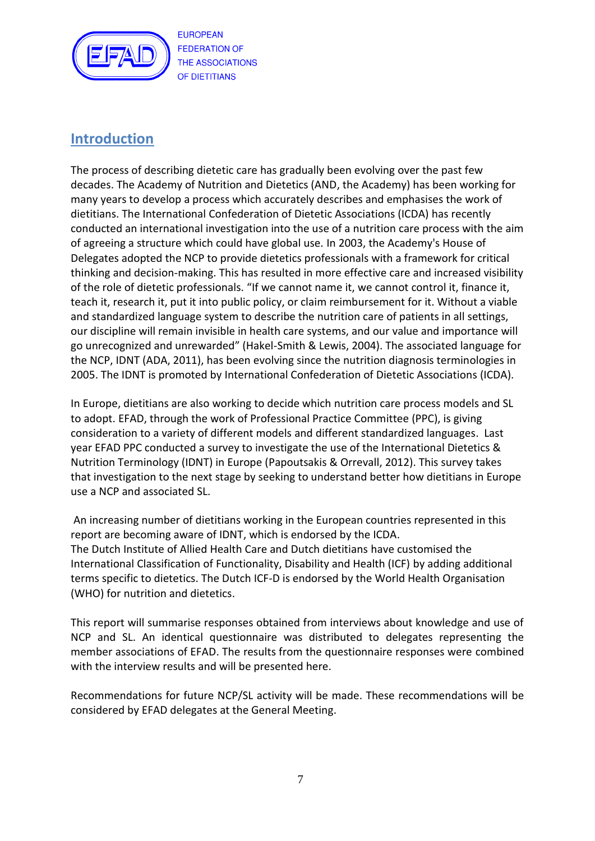

# **Introduction**

The process of describing dietetic care has gradually been evolving over the past few decades. The Academy of Nutrition and Dietetics (AND, the Academy) has been working for many years to develop a process which accurately describes and emphasises the work of dietitians. The International Confederation of Dietetic Associations (ICDA) has recently conducted an international investigation into the use of a nutrition care process with the aim of agreeing a structure which could have global use. In 2003, the Academy's House of Delegates adopted the NCP to provide dietetics professionals with a framework for critical thinking and decision-making. This has resulted in more effective care and increased visibility of the role of dietetic professionals. "If we cannot name it, we cannot control it, finance it, teach it, research it, put it into public policy, or claim reimbursement for it. Without a viable and standardized language system to describe the nutrition care of patients in all settings, our discipline will remain invisible in health care systems, and our value and importance will go unrecognized and unrewarded" (Hakel-Smith & Lewis, 2004). The associated language for the NCP, IDNT (ADA, 2011), has been evolving since the nutrition diagnosis terminologies in 2005. The IDNT is promoted by International Confederation of Dietetic Associations (ICDA).

In Europe, dietitians are also working to decide which nutrition care process models and SL to adopt. EFAD, through the work of Professional Practice Committee (PPC), is giving consideration to a variety of different models and different standardized languages. Last year EFAD PPC conducted a survey to investigate the use of the International Dietetics & Nutrition Terminology (IDNT) in Europe (Papoutsakis & Orrevall, 2012). This survey takes that investigation to the next stage by seeking to understand better how dietitians in Europe use a NCP and associated SL.

An increasing number of dietitians working in the European countries represented in this report are becoming aware of IDNT, which is endorsed by the ICDA. The Dutch Institute of Allied Health Care and Dutch dietitians have customised the International Classification of Functionality, Disability and Health (ICF) by adding additional terms specific to dietetics. The Dutch ICF-D is endorsed by the World Health Organisation (WHO) for nutrition and dietetics.

This report will summarise responses obtained from interviews about knowledge and use of NCP and SL. An identical questionnaire was distributed to delegates representing the member associations of EFAD. The results from the questionnaire responses were combined with the interview results and will be presented here.

Recommendations for future NCP/SL activity will be made. These recommendations will be considered by EFAD delegates at the General Meeting.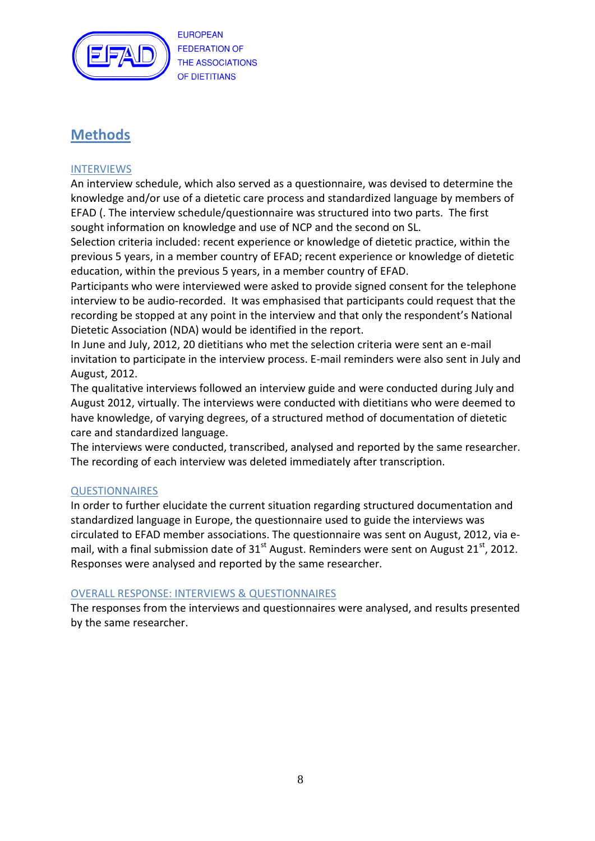

# **Methods**

# INTERVIEWS

An interview schedule, which also served as a questionnaire, was devised to determine the knowledge and/or use of a dietetic care process and standardized language by members of EFAD (. The interview schedule/questionnaire was structured into two parts. The first sought information on knowledge and use of NCP and the second on SL.

Selection criteria included: recent experience or knowledge of dietetic practice, within the previous 5 years, in a member country of EFAD; recent experience or knowledge of dietetic education, within the previous 5 years, in a member country of EFAD.

Participants who were interviewed were asked to provide signed consent for the telephone interview to be audio-recorded. It was emphasised that participants could request that the recording be stopped at any point in the interview and that only the respondent's National Dietetic Association (NDA) would be identified in the report.

In June and July, 2012, 20 dietitians who met the selection criteria were sent an e-mail invitation to participate in the interview process. E-mail reminders were also sent in July and August, 2012.

The qualitative interviews followed an interview guide and were conducted during July and August 2012, virtually. The interviews were conducted with dietitians who were deemed to have knowledge, of varying degrees, of a structured method of documentation of dietetic care and standardized language.

The interviews were conducted, transcribed, analysed and reported by the same researcher. The recording of each interview was deleted immediately after transcription.

## **QUESTIONNAIRES**

In order to further elucidate the current situation regarding structured documentation and standardized language in Europe, the questionnaire used to guide the interviews was circulated to EFAD member associations. The questionnaire was sent on August, 2012, via email, with a final submission date of  $31<sup>st</sup>$  August. Reminders were sent on August 21 $<sup>st</sup>$ , 2012.</sup> Responses were analysed and reported by the same researcher.

## OVERALL RESPONSE: INTERVIEWS & QUESTIONNAIRES

The responses from the interviews and questionnaires were analysed, and results presented by the same researcher.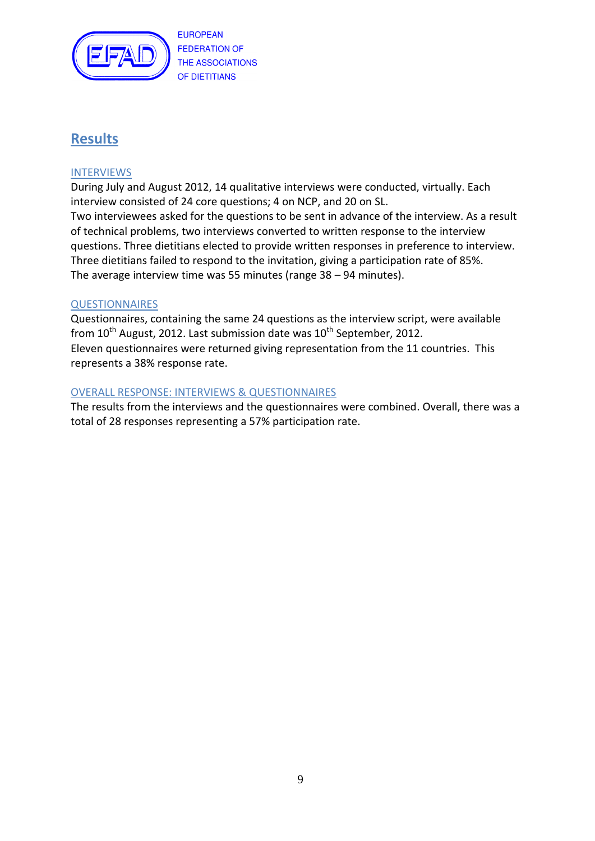

# **Results**

## INTERVIEWS

During July and August 2012, 14 qualitative interviews were conducted, virtually. Each interview consisted of 24 core questions; 4 on NCP, and 20 on SL. Two interviewees asked for the questions to be sent in advance of the interview. As a result

of technical problems, two interviews converted to written response to the interview questions. Three dietitians elected to provide written responses in preference to interview. Three dietitians failed to respond to the invitation, giving a participation rate of 85%. The average interview time was 55 minutes (range 38 – 94 minutes).

## **QUESTIONNAIRES**

Questionnaires, containing the same 24 questions as the interview script, were available from  $10^{th}$  August, 2012. Last submission date was  $10^{th}$  September, 2012. Eleven questionnaires were returned giving representation from the 11 countries. This represents a 38% response rate.

# OVERALL RESPONSE: INTERVIEWS & QUESTIONNAIRES

The results from the interviews and the questionnaires were combined. Overall, there was a total of 28 responses representing a 57% participation rate.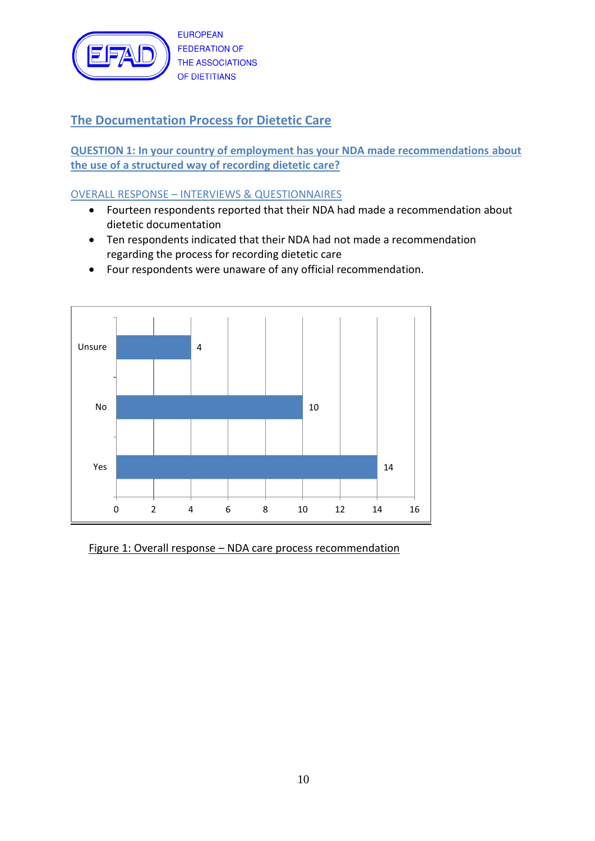

# **The Documentation Process for Dietetic Care**

**QUESTION 1: In your country of employment has your NDA made recommendations about the use of a structured way of recording dietetic care?**

# OVERALL RESPONSE – INTERVIEWS & QUESTIONNAIRES

- Fourteen respondents reported that their NDA had made a recommendation about dietetic documentation
- Ten respondents indicated that their NDA had not made a recommendation regarding the process for recording dietetic care
- Four respondents were unaware of any official recommendation.



Figure 1: Overall response – NDA care process recommendation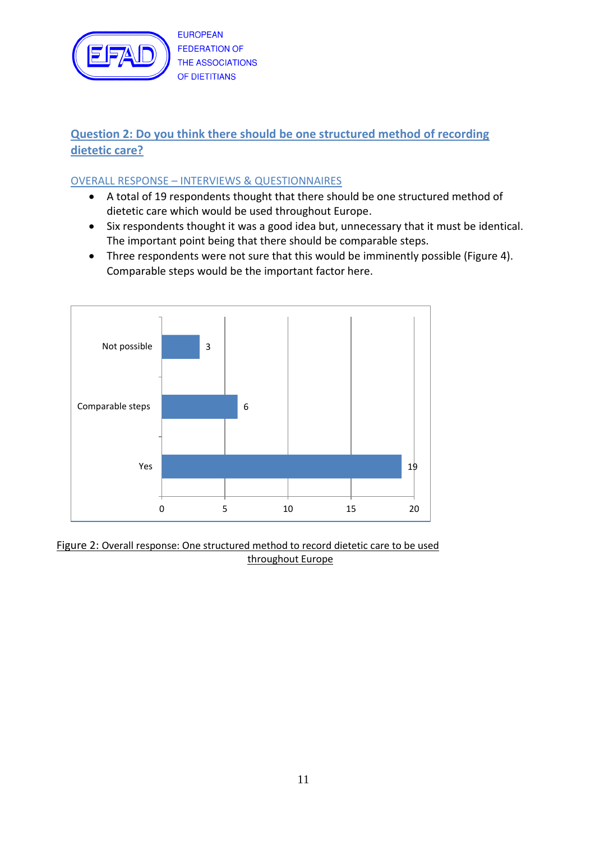

# **Question 2: Do you think there should be one structured method of recording dietetic care?**

# OVERALL RESPONSE – INTERVIEWS & QUESTIONNAIRES

- A total of 19 respondents thought that there should be one structured method of dietetic care which would be used throughout Europe.
- Six respondents thought it was a good idea but, unnecessary that it must be identical. The important point being that there should be comparable steps.
- Three respondents were not sure that this would be imminently possible (Figure 4). Comparable steps would be the important factor here.



Figure 2: Overall response: One structured method to record dietetic care to be used throughout Europe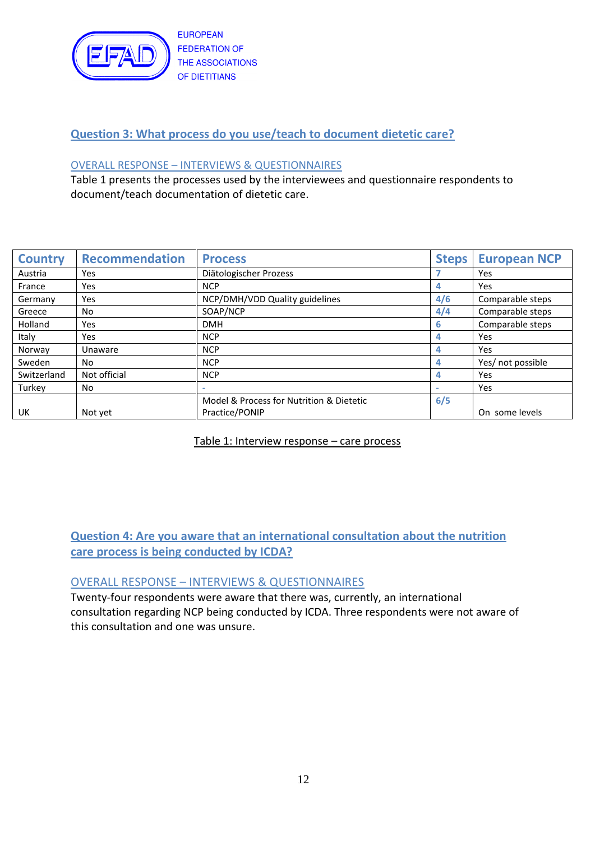

# **Question 3: What process do you use/teach to document dietetic care?**

#### OVERALL RESPONSE – INTERVIEWS & QUESTIONNAIRES

Table 1 presents the processes used by the interviewees and questionnaire respondents to document/teach documentation of dietetic care.

| <b>Country</b> | <b>Recommendation</b> | <b>Process</b>                           | <b>Steps</b> | <b>European NCP</b> |
|----------------|-----------------------|------------------------------------------|--------------|---------------------|
| Austria        | Yes                   | Diätologischer Prozess                   |              | Yes                 |
| France         | Yes                   | <b>NCP</b>                               | 4            | Yes                 |
| Germany        | Yes                   | NCP/DMH/VDD Quality guidelines           | 4/6          | Comparable steps    |
| Greece         | No.                   | SOAP/NCP                                 | 4/4          | Comparable steps    |
| Holland        | Yes                   | <b>DMH</b>                               | 6            | Comparable steps    |
| Italy          | Yes                   | <b>NCP</b>                               | 4            | Yes                 |
| Norway         | Unaware               | <b>NCP</b>                               | 4            | Yes                 |
| Sweden         | No.                   | <b>NCP</b>                               |              | Yes/ not possible   |
| Switzerland    | Not official          | <b>NCP</b>                               |              | Yes                 |
| Turkey         | No.                   |                                          |              | Yes                 |
|                |                       | Model & Process for Nutrition & Dietetic | 6/5          |                     |
| UK             | Not yet               | Practice/PONIP                           |              | On some levels      |

Table 1: Interview response – care process

**Question 4: Are you aware that an international consultation about the nutrition care process is being conducted by ICDA?**

## OVERALL RESPONSE – INTERVIEWS & QUESTIONNAIRES

Twenty-four respondents were aware that there was, currently, an international consultation regarding NCP being conducted by ICDA. Three respondents were not aware of this consultation and one was unsure.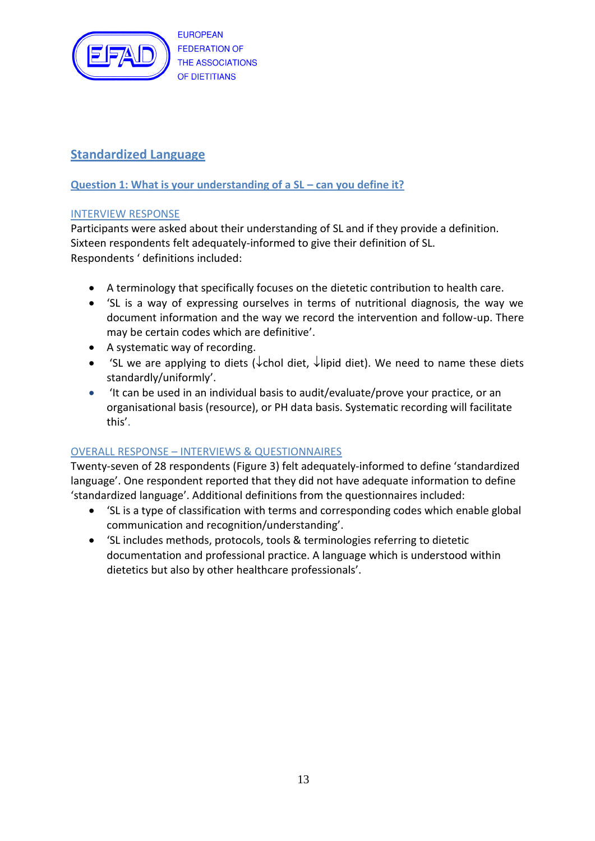

# **Standardized Language**

# **Question 1: What is your understanding of a SL – can you define it?**

# INTERVIEW RESPONSE

Participants were asked about their understanding of SL and if they provide a definition. Sixteen respondents felt adequately-informed to give their definition of SL. Respondents ' definitions included:

- A terminology that specifically focuses on the dietetic contribution to health care.
- 'SL is a way of expressing ourselves in terms of nutritional diagnosis, the way we document information and the way we record the intervention and follow-up. There may be certain codes which are definitive'.
- A systematic way of recording.
- 'SL we are applying to diets ( $\downarrow$ chol diet,  $\downarrow$ lipid diet). We need to name these diets standardly/uniformly'.
- 'It can be used in an individual basis to audit/evaluate/prove your practice, or an organisational basis (resource), or PH data basis. Systematic recording will facilitate this'.

# OVERALL RESPONSE – INTERVIEWS & QUESTIONNAIRES

Twenty-seven of 28 respondents (Figure 3) felt adequately-informed to define 'standardized language'. One respondent reported that they did not have adequate information to define 'standardized language'. Additional definitions from the questionnaires included:

- 'SL is a type of classification with terms and corresponding codes which enable global communication and recognition/understanding'.
- 'SL includes methods, protocols, tools & terminologies referring to dietetic documentation and professional practice. A language which is understood within dietetics but also by other healthcare professionals'.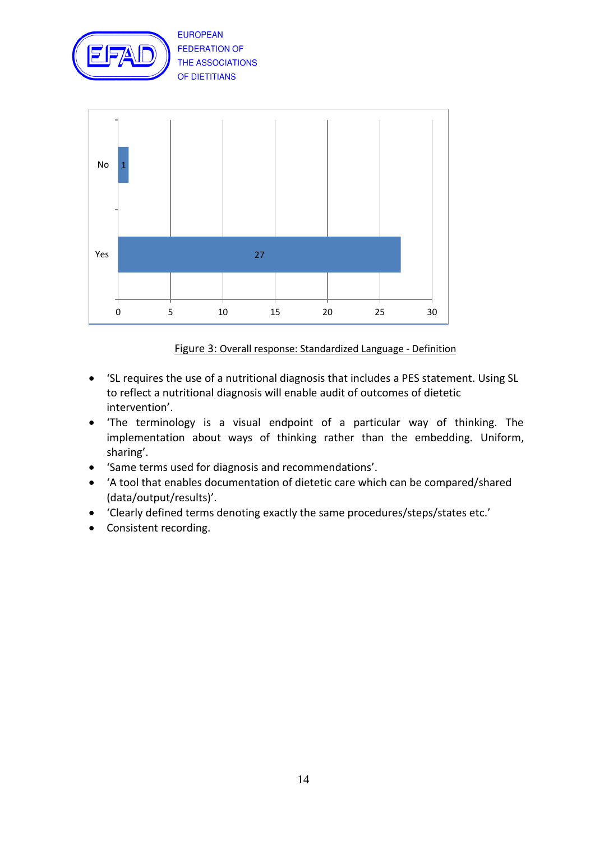



Figure 3: Overall response: Standardized Language - Definition

- 'SL requires the use of a nutritional diagnosis that includes a PES statement. Using SL to reflect a nutritional diagnosis will enable audit of outcomes of dietetic intervention'.
- 'The terminology is a visual endpoint of a particular way of thinking. The implementation about ways of thinking rather than the embedding. Uniform, sharing'.
- 'Same terms used for diagnosis and recommendations'.
- 'A tool that enables documentation of dietetic care which can be compared/shared (data/output/results)'.
- 'Clearly defined terms denoting exactly the same procedures/steps/states etc.'
- Consistent recording.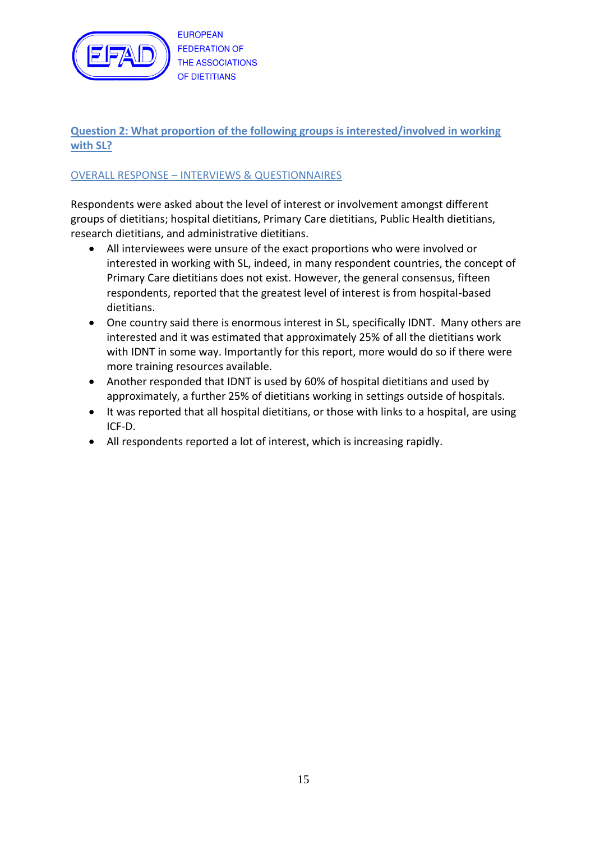

# **Question 2: What proportion of the following groups is interested/involved in working with SL?**

## OVERALL RESPONSE – INTERVIEWS & QUESTIONNAIRES

Respondents were asked about the level of interest or involvement amongst different groups of dietitians; hospital dietitians, Primary Care dietitians, Public Health dietitians, research dietitians, and administrative dietitians.

- All interviewees were unsure of the exact proportions who were involved or interested in working with SL, indeed, in many respondent countries, the concept of Primary Care dietitians does not exist. However, the general consensus, fifteen respondents, reported that the greatest level of interest is from hospital-based dietitians.
- One country said there is enormous interest in SL, specifically IDNT. Many others are interested and it was estimated that approximately 25% of all the dietitians work with IDNT in some way. Importantly for this report, more would do so if there were more training resources available.
- Another responded that IDNT is used by 60% of hospital dietitians and used by approximately, a further 25% of dietitians working in settings outside of hospitals.
- It was reported that all hospital dietitians, or those with links to a hospital, are using ICF-D.
- All respondents reported a lot of interest, which is increasing rapidly.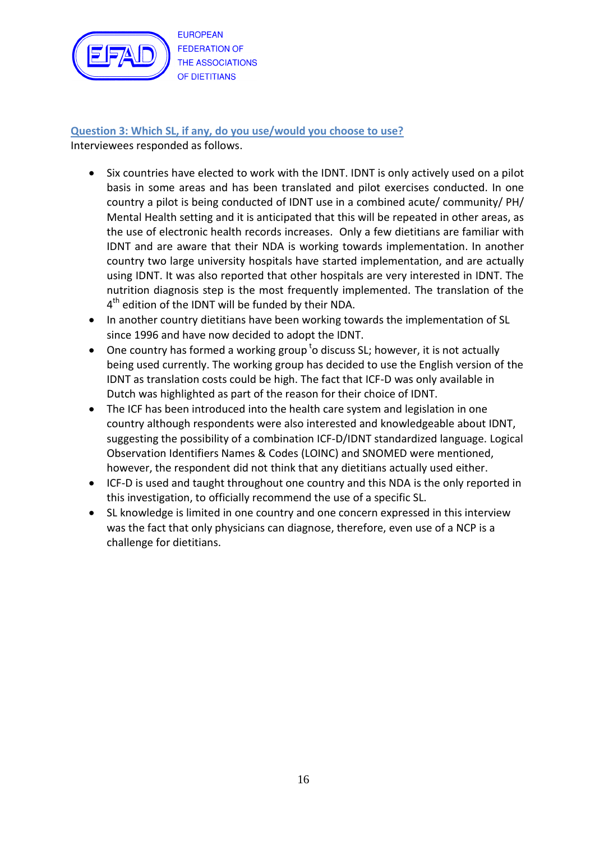

**Question 3: Which SL, if any, do you use/would you choose to use?** Interviewees responded as follows.

- Six countries have elected to work with the IDNT. IDNT is only actively used on a pilot basis in some areas and has been translated and pilot exercises conducted. In one country a pilot is being conducted of IDNT use in a combined acute/ community/ PH/ Mental Health setting and it is anticipated that this will be repeated in other areas, as the use of electronic health records increases. Only a few dietitians are familiar with IDNT and are aware that their NDA is working towards implementation. In another country two large university hospitals have started implementation, and are actually using IDNT. It was also reported that other hospitals are very interested in IDNT. The nutrition diagnosis step is the most frequently implemented. The translation of the  $4<sup>th</sup>$  edition of the IDNT will be funded by their NDA.
- In another country dietitians have been working towards the implementation of SL since 1996 and have now decided to adopt the IDNT.
- One country has formed a working group  $t$ o discuss SL; however, it is not actually being used currently. The working group has decided to use the English version of the IDNT as translation costs could be high. The fact that ICF-D was only available in Dutch was highlighted as part of the reason for their choice of IDNT.
- The ICF has been introduced into the health care system and legislation in one country although respondents were also interested and knowledgeable about IDNT, suggesting the possibility of a combination ICF-D/IDNT standardized language. Logical Observation Identifiers Names & Codes (LOINC) and SNOMED were mentioned, however, the respondent did not think that any dietitians actually used either.
- ICF-D is used and taught throughout one country and this NDA is the only reported in this investigation, to officially recommend the use of a specific SL.
- SL knowledge is limited in one country and one concern expressed in this interview was the fact that only physicians can diagnose, therefore, even use of a NCP is a challenge for dietitians.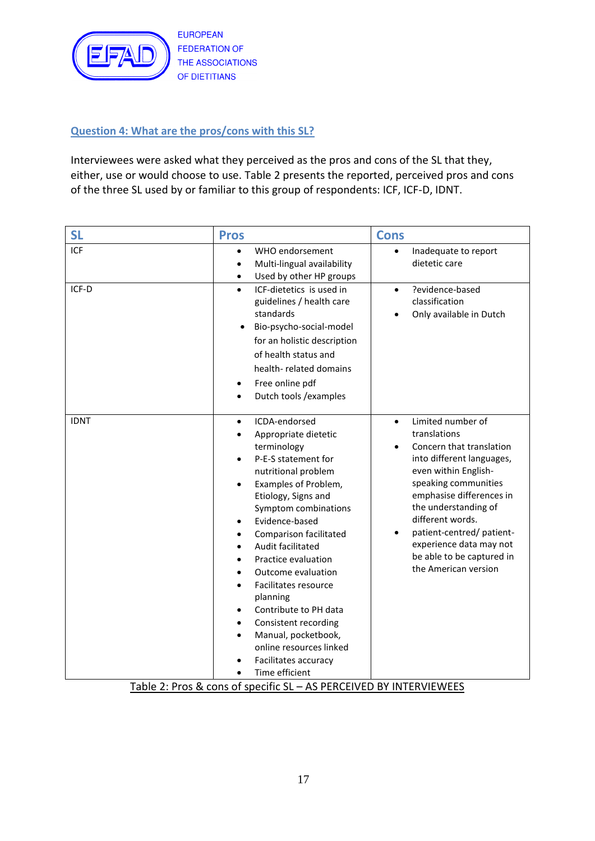

## **Question 4: What are the pros/cons with this SL?**

Interviewees were asked what they perceived as the pros and cons of the SL that they, either, use or would choose to use. Table 2 presents the reported, perceived pros and cons of the three SL used by or familiar to this group of respondents: ICF, ICF-D, IDNT.

| <b>SL</b>   | <b>Pros</b>                                                                                                                                                                                                                                                                                                                                                                                                                                                                                                               | <b>Cons</b>                                                                                                                                                                                                                                                                                                                                 |
|-------------|---------------------------------------------------------------------------------------------------------------------------------------------------------------------------------------------------------------------------------------------------------------------------------------------------------------------------------------------------------------------------------------------------------------------------------------------------------------------------------------------------------------------------|---------------------------------------------------------------------------------------------------------------------------------------------------------------------------------------------------------------------------------------------------------------------------------------------------------------------------------------------|
| <b>ICF</b>  | WHO endorsement<br>$\bullet$<br>Multi-lingual availability<br>$\bullet$<br>Used by other HP groups                                                                                                                                                                                                                                                                                                                                                                                                                        | Inadequate to report<br>$\bullet$<br>dietetic care                                                                                                                                                                                                                                                                                          |
| ICF-D       | ICF-dietetics is used in<br>$\bullet$<br>guidelines / health care<br>standards<br>Bio-psycho-social-model<br>for an holistic description<br>of health status and<br>health-related domains<br>Free online pdf<br>Dutch tools / examples                                                                                                                                                                                                                                                                                   | ?evidence-based<br>$\bullet$<br>classification<br>Only available in Dutch                                                                                                                                                                                                                                                                   |
| <b>IDNT</b> | ICDA-endorsed<br>$\bullet$<br>Appropriate dietetic<br>terminology<br>P-E-S statement for<br>nutritional problem<br>Examples of Problem,<br>Etiology, Signs and<br>Symptom combinations<br>Evidence-based<br>٠<br>Comparison facilitated<br>٠<br>Audit facilitated<br>$\bullet$<br>Practice evaluation<br>Outcome evaluation<br>Facilitates resource<br>planning<br>Contribute to PH data<br>$\bullet$<br>Consistent recording<br>Manual, pocketbook,<br>online resources linked<br>Facilitates accuracy<br>Time efficient | Limited number of<br>$\bullet$<br>translations<br>Concern that translation<br>into different languages,<br>even within English-<br>speaking communities<br>emphasise differences in<br>the understanding of<br>different words.<br>patient-centred/patient-<br>experience data may not<br>be able to be captured in<br>the American version |

Table 2: Pros & cons of specific SL – AS PERCEIVED BY INTERVIEWEES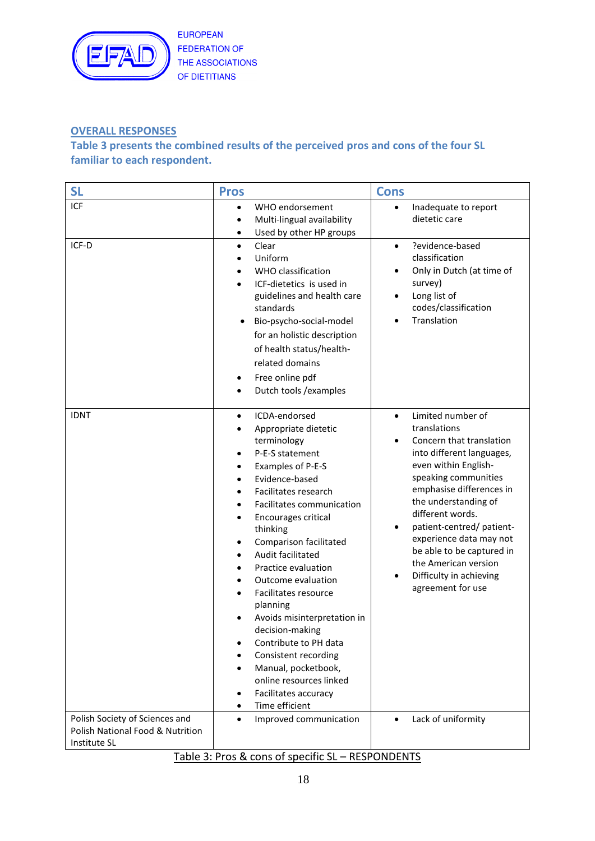

# **OVERALL RESPONSES**

# **Table 3 presents the combined results of the perceived pros and cons of the four SL familiar to each respondent.**

| <b>SL</b>                                                                          | <b>Pros</b>                                                                                                                                                                                                                                                                                                                                                                                                                                                                                                                                                                                                                        | <b>Cons</b>                                                                                                                                                                                                                                                                                                                                                                                                   |
|------------------------------------------------------------------------------------|------------------------------------------------------------------------------------------------------------------------------------------------------------------------------------------------------------------------------------------------------------------------------------------------------------------------------------------------------------------------------------------------------------------------------------------------------------------------------------------------------------------------------------------------------------------------------------------------------------------------------------|---------------------------------------------------------------------------------------------------------------------------------------------------------------------------------------------------------------------------------------------------------------------------------------------------------------------------------------------------------------------------------------------------------------|
| <b>ICF</b>                                                                         | WHO endorsement<br>$\bullet$<br>Multi-lingual availability<br>$\bullet$<br>Used by other HP groups<br>$\bullet$                                                                                                                                                                                                                                                                                                                                                                                                                                                                                                                    | Inadequate to report<br>$\bullet$<br>dietetic care                                                                                                                                                                                                                                                                                                                                                            |
| ICF-D                                                                              | Clear<br>$\bullet$<br>Uniform<br>WHO classification<br>ICF-dietetics is used in<br>guidelines and health care<br>standards<br>Bio-psycho-social-model<br>$\bullet$<br>for an holistic description<br>of health status/health-<br>related domains<br>Free online pdf<br>$\bullet$<br>Dutch tools / examples<br>$\bullet$                                                                                                                                                                                                                                                                                                            | ?evidence-based<br>$\bullet$<br>classification<br>Only in Dutch (at time of<br>survey)<br>Long list of<br>٠<br>codes/classification<br>Translation                                                                                                                                                                                                                                                            |
| <b>IDNT</b>                                                                        | ICDA-endorsed<br>$\bullet$<br>Appropriate dietetic<br>terminology<br>P-E-S statement<br>Examples of P-E-S<br>$\bullet$<br>Evidence-based<br>$\bullet$<br>Facilitates research<br>$\bullet$<br>Facilitates communication<br>Encourages critical<br>٠<br>thinking<br>Comparison facilitated<br>$\bullet$<br>Audit facilitated<br>٠<br>Practice evaluation<br>Outcome evaluation<br>Facilitates resource<br>planning<br>Avoids misinterpretation in<br>decision-making<br>Contribute to PH data<br>Consistent recording<br>Manual, pocketbook,<br>online resources linked<br>Facilitates accuracy<br>٠<br>Time efficient<br>$\bullet$ | Limited number of<br>$\bullet$<br>translations<br>Concern that translation<br>٠<br>into different languages,<br>even within English-<br>speaking communities<br>emphasise differences in<br>the understanding of<br>different words.<br>patient-centred/patient-<br>$\bullet$<br>experience data may not<br>be able to be captured in<br>the American version<br>Difficulty in achieving<br>agreement for use |
| Polish Society of Sciences and<br>Polish National Food & Nutrition<br>Institute SL | Improved communication<br>$\bullet$                                                                                                                                                                                                                                                                                                                                                                                                                                                                                                                                                                                                | Lack of uniformity<br>$\bullet$                                                                                                                                                                                                                                                                                                                                                                               |

## Table 3: Pros & cons of specific SL – RESPONDENTS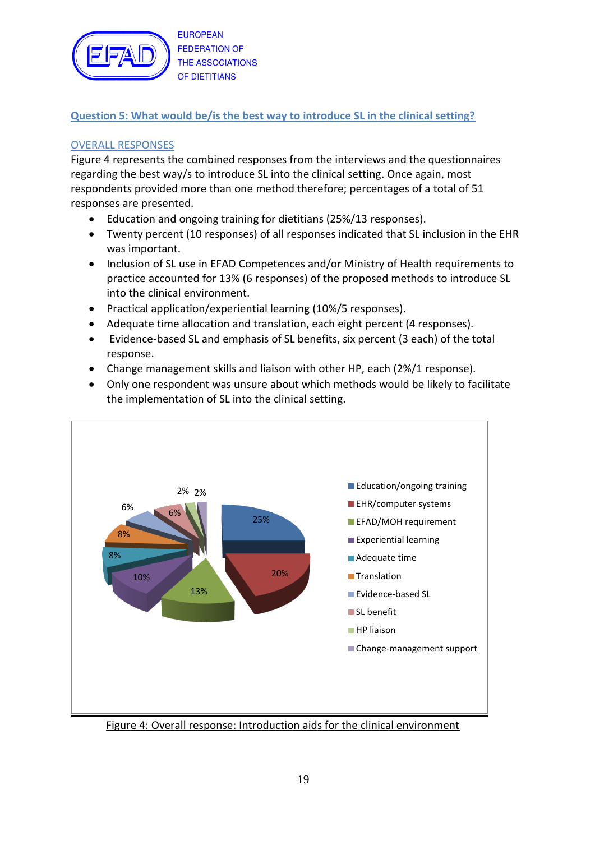

# **Question 5: What would be/is the best way to introduce SL in the clinical setting?**

# OVERALL RESPONSES

Figure 4 represents the combined responses from the interviews and the questionnaires regarding the best way/s to introduce SL into the clinical setting. Once again, most respondents provided more than one method therefore; percentages of a total of 51 responses are presented.

- Education and ongoing training for dietitians (25%/13 responses).
- Twenty percent (10 responses) of all responses indicated that SL inclusion in the EHR was important.
- Inclusion of SL use in EFAD Competences and/or Ministry of Health requirements to practice accounted for 13% (6 responses) of the proposed methods to introduce SL into the clinical environment.
- Practical application/experiential learning (10%/5 responses).
- Adequate time allocation and translation, each eight percent (4 responses).
- Evidence-based SL and emphasis of SL benefits, six percent (3 each) of the total response.
- Change management skills and liaison with other HP, each (2%/1 response).
- Only one respondent was unsure about which methods would be likely to facilitate the implementation of SL into the clinical setting.



Figure 4: Overall response: Introduction aids for the clinical environment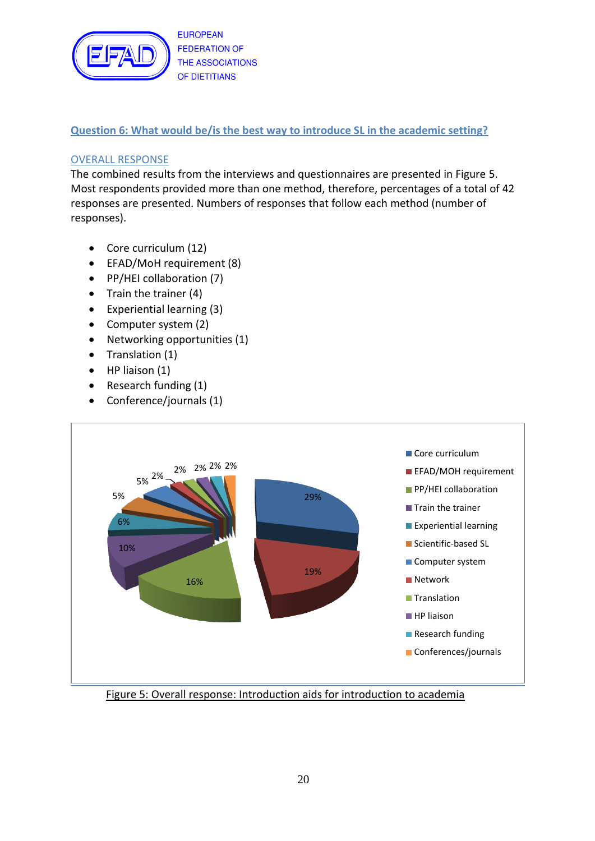

## **Question 6: What would be/is the best way to introduce SL in the academic setting?**

## OVERALL RESPONSE

The combined results from the interviews and questionnaires are presented in Figure 5. Most respondents provided more than one method, therefore, percentages of a total of 42 responses are presented. Numbers of responses that follow each method (number of responses).

- Core curriculum (12)
- EFAD/MoH requirement (8)
- PP/HEI collaboration (7)
- $\bullet$  Train the trainer (4)
- Experiential learning (3)
- Computer system (2)
- Networking opportunities (1)
- Translation (1)
- $\bullet$  HP liaison (1)
- Research funding (1)
- Conference/journals (1)



Figure 5: Overall response: Introduction aids for introduction to academia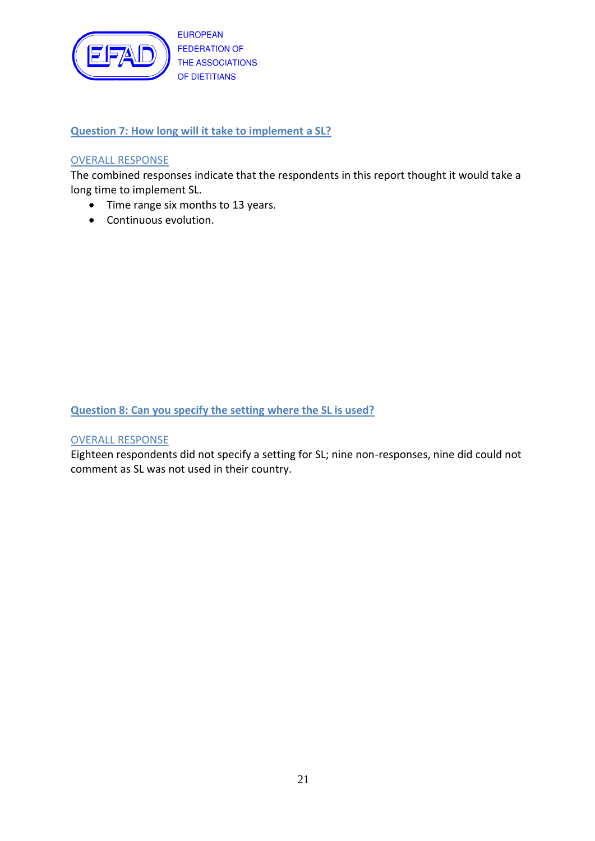

**Question 7: How long will it take to implement a SL?**

#### OVERALL RESPONSE

The combined responses indicate that the respondents in this report thought it would take a long time to implement SL.

- Time range six months to 13 years.
- Continuous evolution.

**Question 8: Can you specify the setting where the SL is used?**

#### OVERALL RESPONSE

Eighteen respondents did not specify a setting for SL; nine non-responses, nine did could not comment as SL was not used in their country.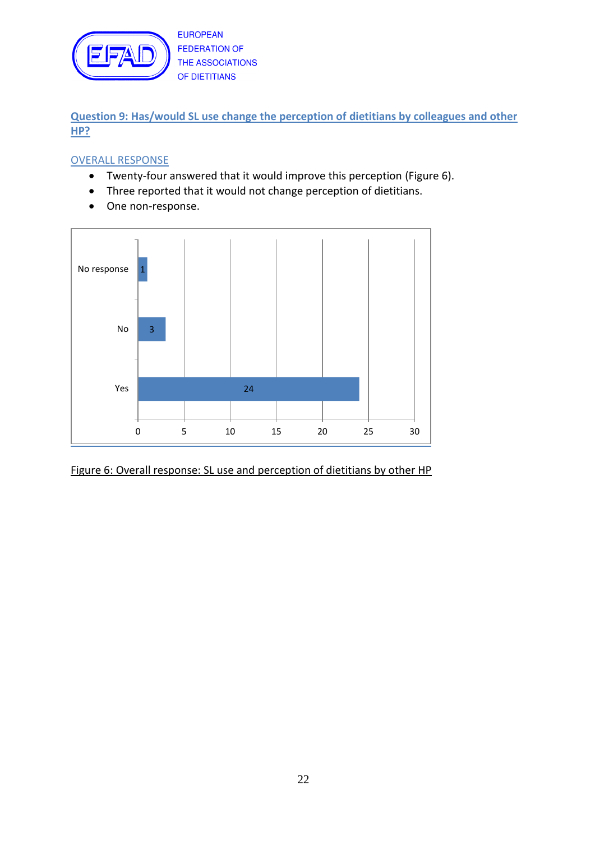

**Question 9: Has/would SL use change the perception of dietitians by colleagues and other HP?**

#### OVERALL RESPONSE

- Twenty-four answered that it would improve this perception (Figure 6).
- Three reported that it would not change perception of dietitians.
- One non-response.



Figure 6: Overall response: SL use and perception of dietitians by other HP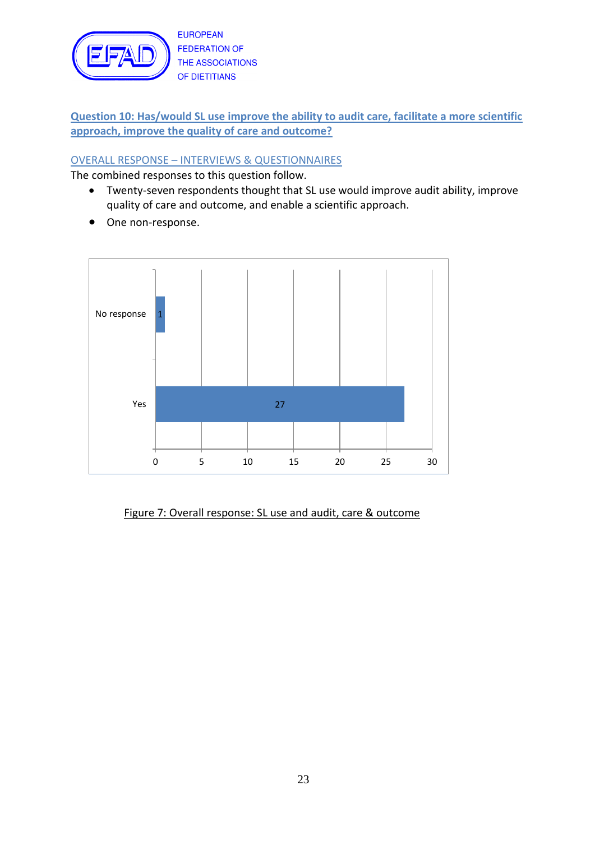

**Question 10: Has/would SL use improve the ability to audit care, facilitate a more scientific approach, improve the quality of care and outcome?**

# OVERALL RESPONSE – INTERVIEWS & QUESTIONNAIRES

The combined responses to this question follow.

- Twenty-seven respondents thought that SL use would improve audit ability, improve quality of care and outcome, and enable a scientific approach.
- One non-response.



## Figure 7: Overall response: SL use and audit, care & outcome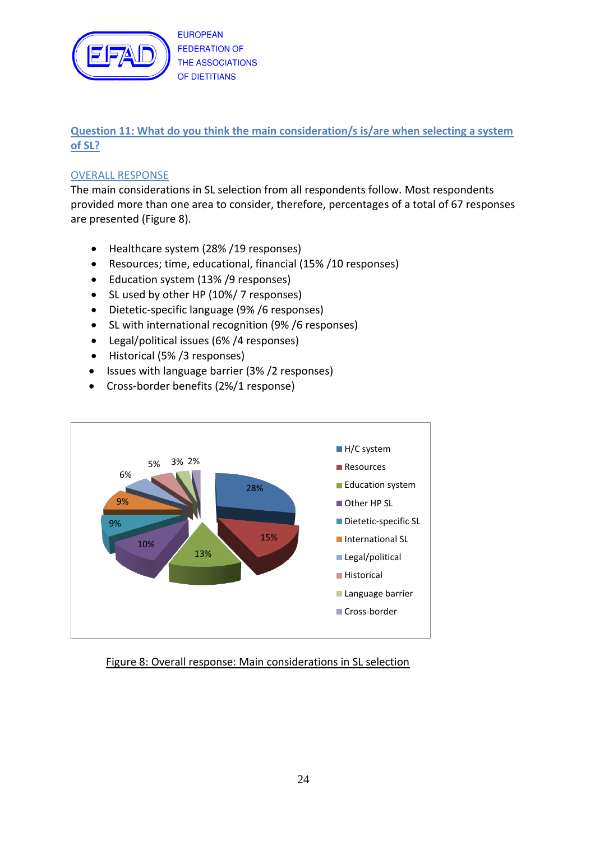

# **Question 11: What do you think the main consideration/s is/are when selecting a system of SL?**

## OVERALL RESPONSE

The main considerations in SL selection from all respondents follow. Most respondents provided more than one area to consider, therefore, percentages of a total of 67 responses are presented (Figure 8).

- Healthcare system (28%/19 responses)
- Resources; time, educational, financial (15% /10 responses)
- Education system (13% / 9 responses)
- SL used by other HP (10%/7 responses)
- Dietetic-specific language (9% /6 responses)
- SL with international recognition (9% /6 responses)
- Legal/political issues (6% /4 responses)
- Historical (5%/3 responses)
- Issues with language barrier (3%/2 responses)
- Cross-border benefits (2%/1 response)



## Figure 8: Overall response: Main considerations in SL selection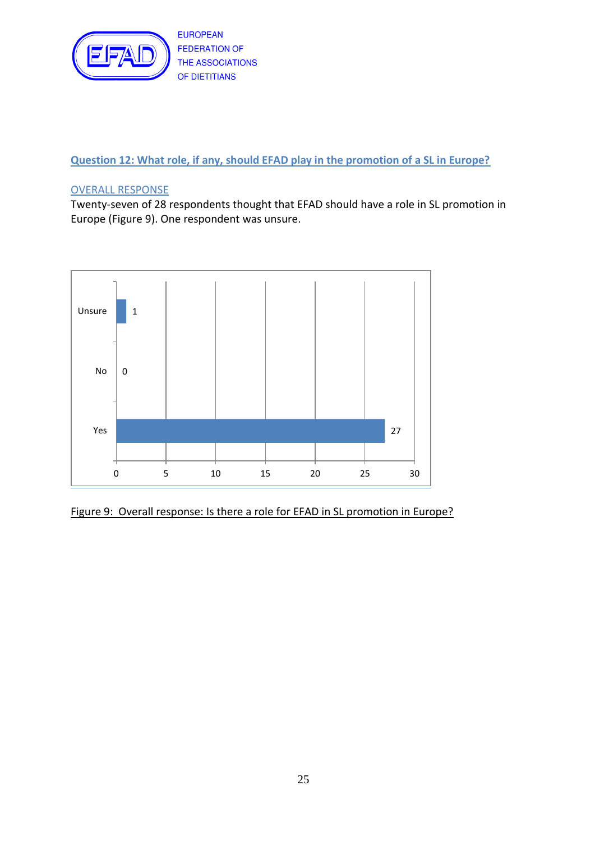

**Question 12: What role, if any, should EFAD play in the promotion of a SL in Europe?**

## OVERALL RESPONSE

Twenty-seven of 28 respondents thought that EFAD should have a role in SL promotion in Europe (Figure 9). One respondent was unsure.



Figure 9: Overall response: Is there a role for EFAD in SL promotion in Europe?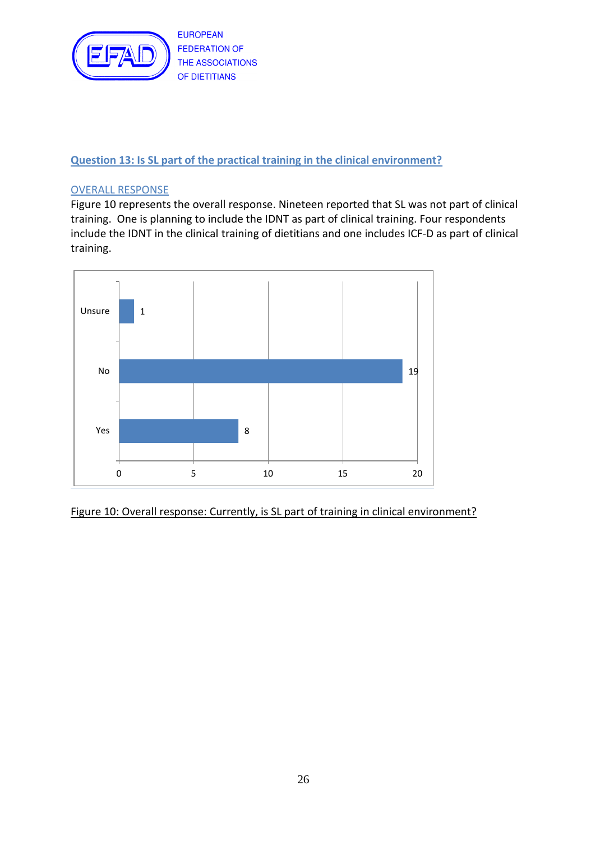

## **Question 13: Is SL part of the practical training in the clinical environment?**

#### OVERALL RESPONSE

Figure 10 represents the overall response. Nineteen reported that SL was not part of clinical training. One is planning to include the IDNT as part of clinical training. Four respondents include the IDNT in the clinical training of dietitians and one includes ICF-D as part of clinical training.



Figure 10: Overall response: Currently, is SL part of training in clinical environment?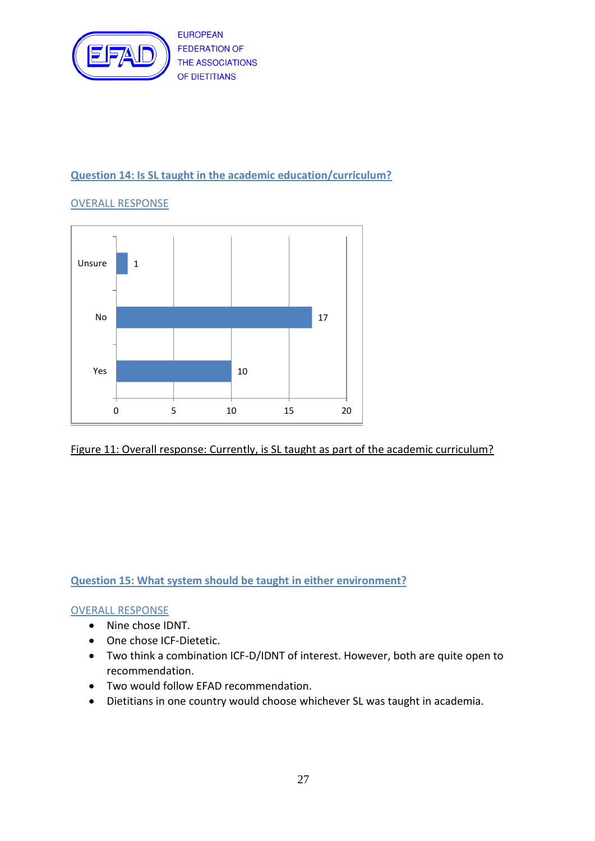

# **Question 14: Is SL taught in the academic education/curriculum?**

# OVERALL RESPONSE



#### Figure 11: Overall response: Currently, is SL taught as part of the academic curriculum?

## **Question 15: What system should be taught in either environment?**

#### OVERALL RESPONSE

- Nine chose IDNT.
- One chose ICF-Dietetic.
- Two think a combination ICF-D/IDNT of interest. However, both are quite open to recommendation.
- Two would follow EFAD recommendation.
- Dietitians in one country would choose whichever SL was taught in academia.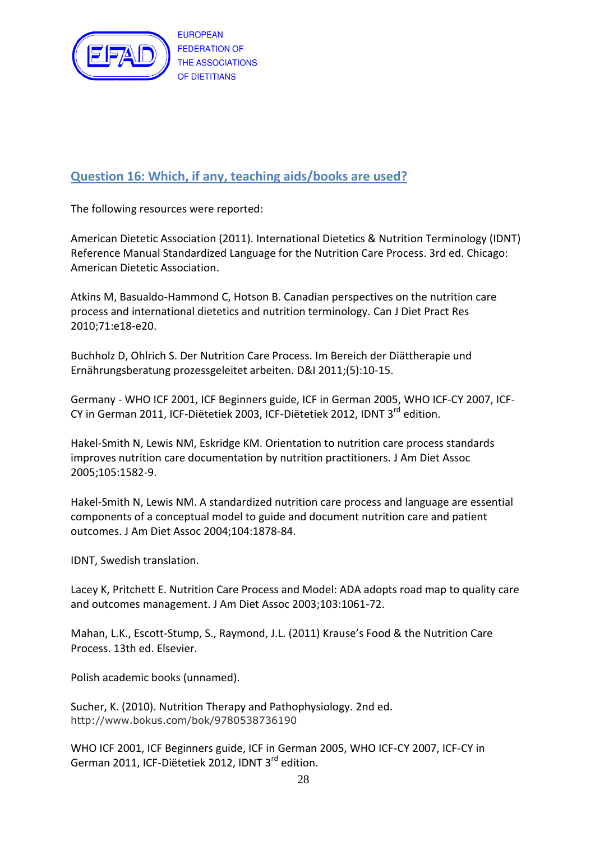

# **Question 16: Which, if any, teaching aids/books are used?**

The following resources were reported:

American Dietetic Association (2011). International Dietetics & Nutrition Terminology (IDNT) Reference Manual Standardized Language for the Nutrition Care Process. 3rd ed. Chicago: American Dietetic Association.

Atkins M, Basualdo-Hammond C, Hotson B. Canadian perspectives on the nutrition care process and international dietetics and nutrition terminology. Can J Diet Pract Res 2010;71:e18-e20.

Buchholz D, Ohlrich S. Der Nutrition Care Process. Im Bereich der Diättherapie und Ernährungsberatung prozessgeleitet arbeiten. D&I 2011;(5):10-15.

Germany - WHO ICF 2001, ICF Beginners guide, ICF in German 2005, WHO ICF-CY 2007, ICF-CY in German 2011, ICF-Diëtetiek 2003, ICF-Diëtetiek 2012, IDNT 3<sup>rd</sup> edition.

Hakel-Smith N, Lewis NM, Eskridge KM. Orientation to nutrition care process standards improves nutrition care documentation by nutrition practitioners. J Am Diet Assoc 2005;105:1582-9.

Hakel-Smith N, Lewis NM. A standardized nutrition care process and language are essential components of a conceptual model to guide and document nutrition care and patient outcomes. J Am Diet Assoc 2004;104:1878-84.

IDNT, Swedish translation.

Lacey K, Pritchett E. Nutrition Care Process and Model: ADA adopts road map to quality care and outcomes management. J Am Diet Assoc 2003;103:1061-72.

Mahan, L.K., Escott-Stump, S., Raymond, J.L. (2011) Krause's Food & the Nutrition Care Process. 13th ed. Elsevier.

Polish academic books (unnamed).

Sucher, K. (2010). Nutrition Therapy and Pathophysiology. 2nd ed. http://www.bokus.com/bok/9780538736190

WHO ICF 2001, ICF Beginners guide, ICF in German 2005, WHO ICF-CY 2007, ICF-CY in German 2011, ICF-Diëtetiek 2012, IDNT 3rd edition.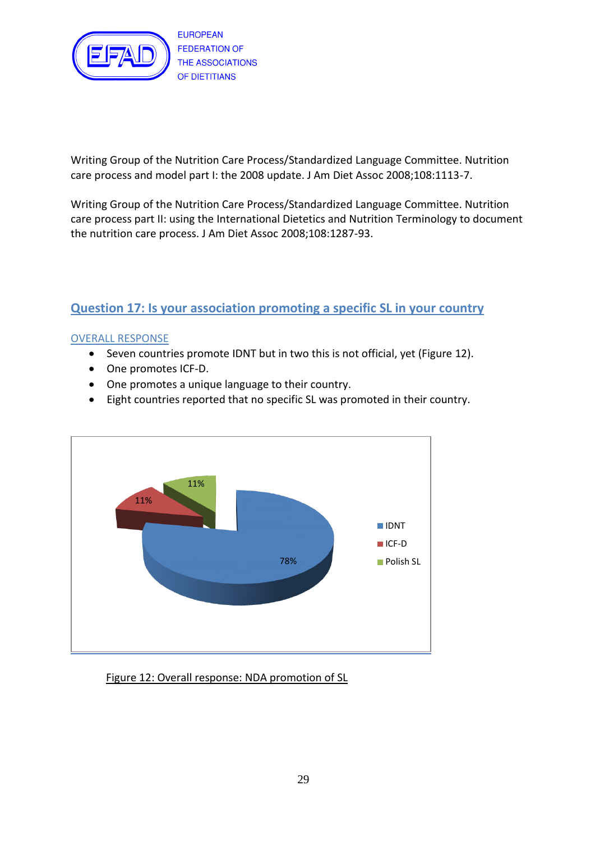

Writing Group of the Nutrition Care Process/Standardized Language Committee. Nutrition care process and model part I: the 2008 update. J Am Diet Assoc 2008;108:1113-7.

Writing Group of the Nutrition Care Process/Standardized Language Committee. Nutrition care process part II: using the International Dietetics and Nutrition Terminology to document the nutrition care process. J Am Diet Assoc 2008;108:1287-93.

# **Question 17: Is your association promoting a specific SL in your country**

## OVERALL RESPONSE

- Seven countries promote IDNT but in two this is not official, yet (Figure 12).
- One promotes ICF-D.
- One promotes a unique language to their country.
- Eight countries reported that no specific SL was promoted in their country.



Figure 12: Overall response: NDA promotion of SL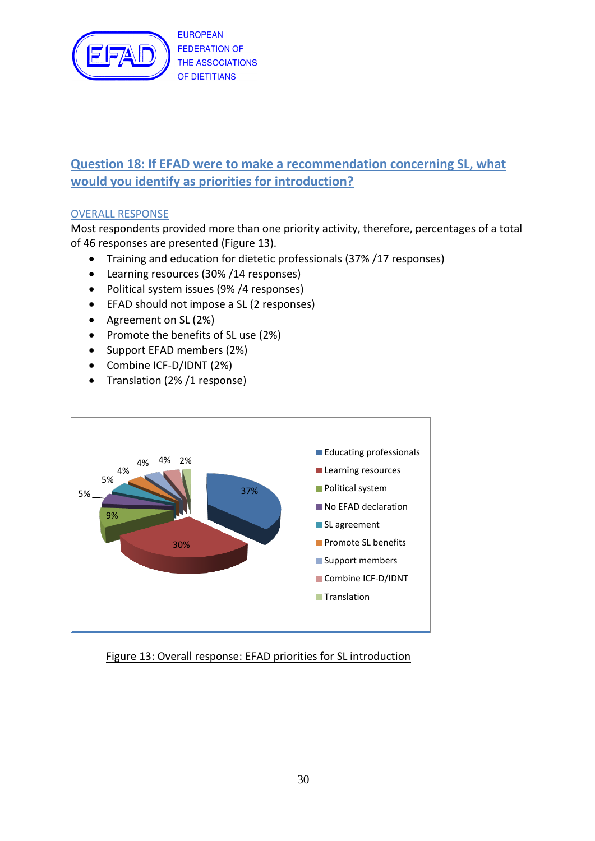

# **Question 18: If EFAD were to make a recommendation concerning SL, what would you identify as priorities for introduction?**

# OVERALL RESPONSE

Most respondents provided more than one priority activity, therefore, percentages of a total of 46 responses are presented (Figure 13).

- Training and education for dietetic professionals (37% /17 responses)
- Learning resources (30% /14 responses)
- Political system issues (9%/4 responses)
- EFAD should not impose a SL (2 responses)
- Agreement on SL (2%)
- Promote the benefits of SL use (2%)
- Support EFAD members (2%)
- Combine ICF-D/IDNT (2%)
- Translation (2%/1 response)



## Figure 13: Overall response: EFAD priorities for SL introduction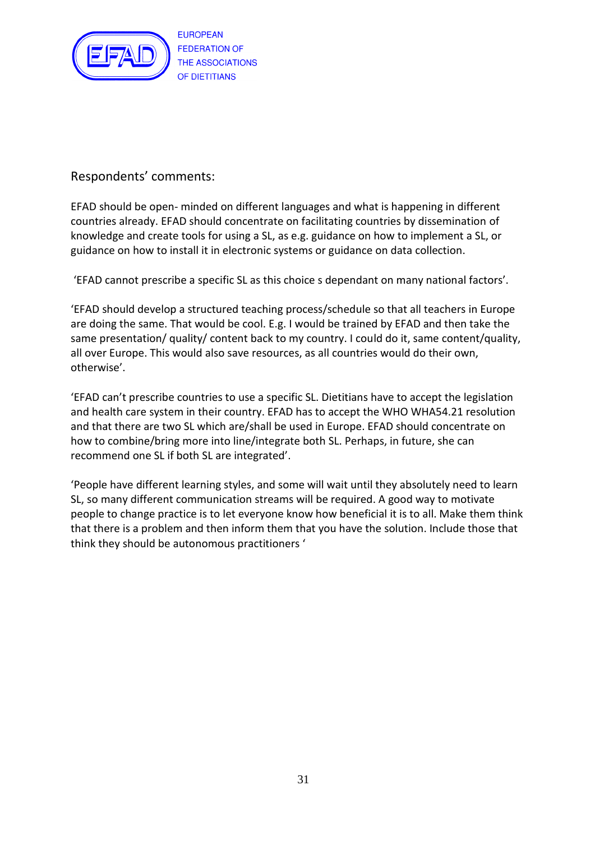

# Respondents' comments:

EFAD should be open- minded on different languages and what is happening in different countries already. EFAD should concentrate on facilitating countries by dissemination of knowledge and create tools for using a SL, as e.g. guidance on how to implement a SL, or guidance on how to install it in electronic systems or guidance on data collection.

'EFAD cannot prescribe a specific SL as this choice s dependant on many national factors'.

'EFAD should develop a structured teaching process/schedule so that all teachers in Europe are doing the same. That would be cool. E.g. I would be trained by EFAD and then take the same presentation/ quality/ content back to my country. I could do it, same content/quality, all over Europe. This would also save resources, as all countries would do their own, otherwise'.

'EFAD can't prescribe countries to use a specific SL. Dietitians have to accept the legislation and health care system in their country. EFAD has to accept the WHO WHA54.21 resolution and that there are two SL which are/shall be used in Europe. EFAD should concentrate on how to combine/bring more into line/integrate both SL. Perhaps, in future, she can recommend one SL if both SL are integrated'.

'People have different learning styles, and some will wait until they absolutely need to learn SL, so many different communication streams will be required. A good way to motivate people to change practice is to let everyone know how beneficial it is to all. Make them think that there is a problem and then inform them that you have the solution. Include those that think they should be autonomous practitioners '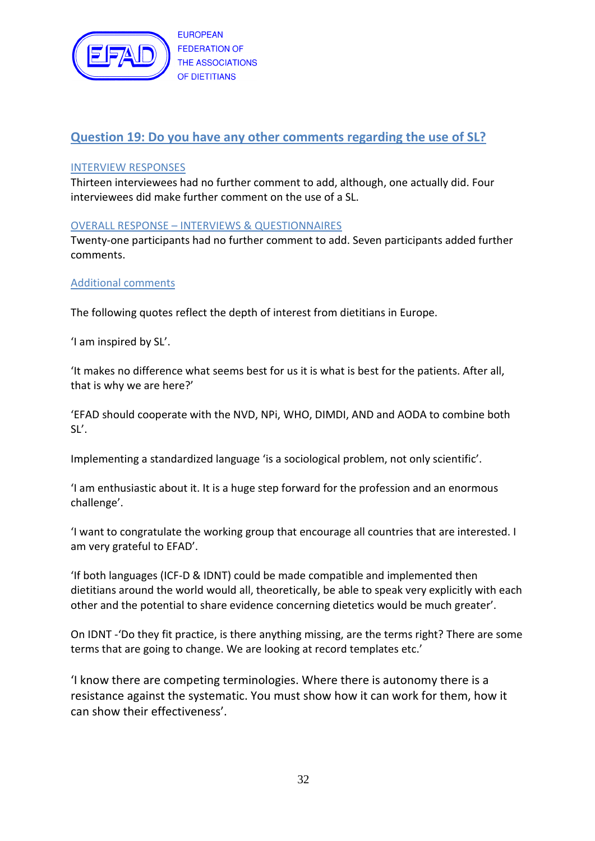

# **Question 19: Do you have any other comments regarding the use of SL?**

#### INTERVIEW RESPONSES

Thirteen interviewees had no further comment to add, although, one actually did. Four interviewees did make further comment on the use of a SL.

## OVERALL RESPONSE – INTERVIEWS & QUESTIONNAIRES

Twenty-one participants had no further comment to add. Seven participants added further comments.

#### Additional comments

The following quotes reflect the depth of interest from dietitians in Europe.

'I am inspired by SL'.

'It makes no difference what seems best for us it is what is best for the patients. After all, that is why we are here?'

'EFAD should cooperate with the NVD, NPi, WHO, DIMDI, AND and AODA to combine both SL'.

Implementing a standardized language 'is a sociological problem, not only scientific'.

'I am enthusiastic about it. It is a huge step forward for the profession and an enormous challenge'.

'I want to congratulate the working group that encourage all countries that are interested. I am very grateful to EFAD'.

'If both languages (ICF-D & IDNT) could be made compatible and implemented then dietitians around the world would all, theoretically, be able to speak very explicitly with each other and the potential to share evidence concerning dietetics would be much greater'.

On IDNT -'Do they fit practice, is there anything missing, are the terms right? There are some terms that are going to change. We are looking at record templates etc.'

'I know there are competing terminologies. Where there is autonomy there is a resistance against the systematic. You must show how it can work for them, how it can show their effectiveness'.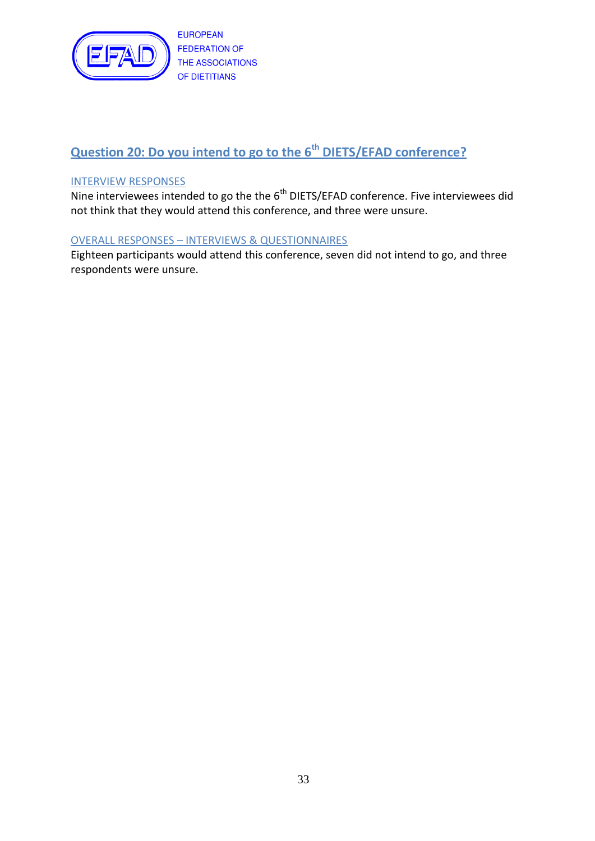

# **Question 20: Do you intend to go to the 6th DIETS/EFAD conference?**

## INTERVIEW RESPONSES

Nine interviewees intended to go the the 6<sup>th</sup> DIETS/EFAD conference. Five interviewees did not think that they would attend this conference, and three were unsure.

#### OVERALL RESPONSES – INTERVIEWS & QUESTIONNAIRES

Eighteen participants would attend this conference, seven did not intend to go, and three respondents were unsure.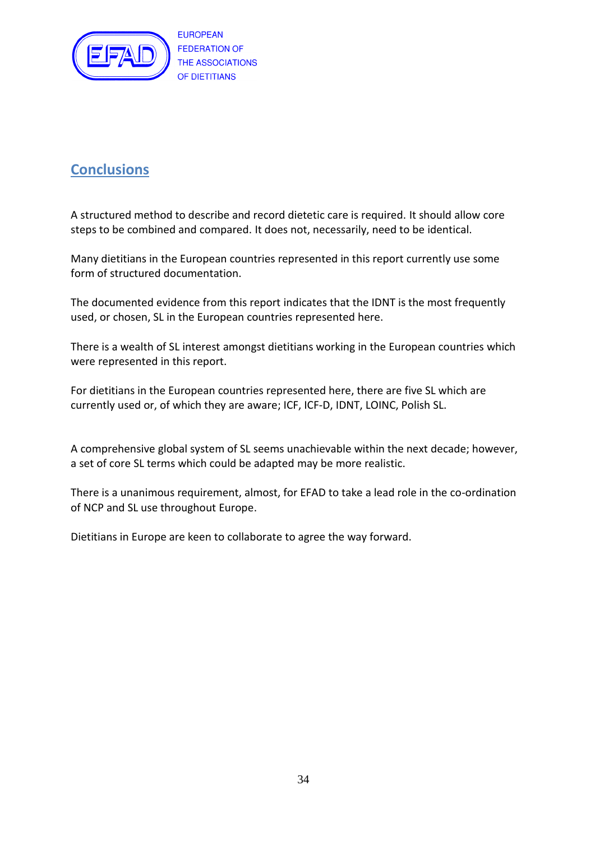

# **Conclusions**

A structured method to describe and record dietetic care is required. It should allow core steps to be combined and compared. It does not, necessarily, need to be identical.

Many dietitians in the European countries represented in this report currently use some form of structured documentation.

The documented evidence from this report indicates that the IDNT is the most frequently used, or chosen, SL in the European countries represented here.

There is a wealth of SL interest amongst dietitians working in the European countries which were represented in this report.

For dietitians in the European countries represented here, there are five SL which are currently used or, of which they are aware; ICF, ICF-D, IDNT, LOINC, Polish SL.

A comprehensive global system of SL seems unachievable within the next decade; however, a set of core SL terms which could be adapted may be more realistic.

There is a unanimous requirement, almost, for EFAD to take a lead role in the co-ordination of NCP and SL use throughout Europe.

Dietitians in Europe are keen to collaborate to agree the way forward.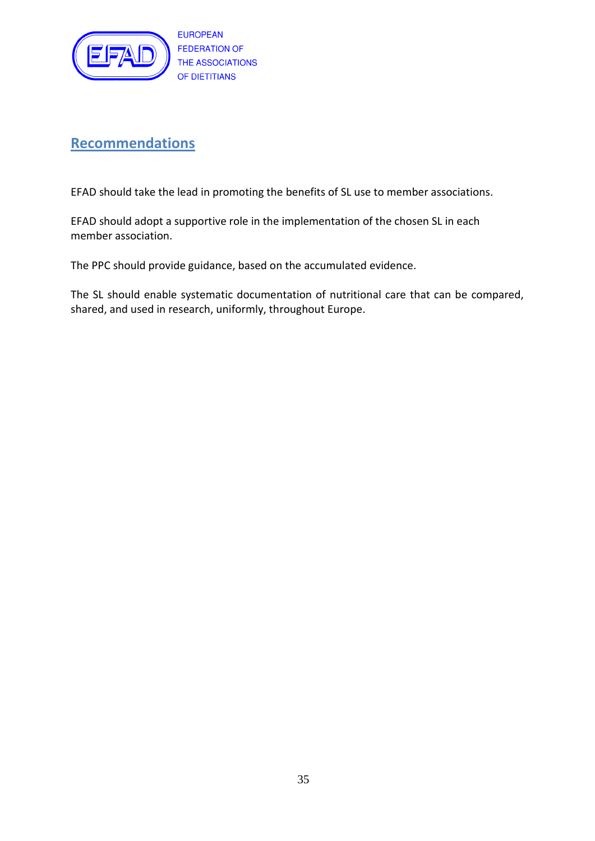

# **Recommendations**

EFAD should take the lead in promoting the benefits of SL use to member associations.

EFAD should adopt a supportive role in the implementation of the chosen SL in each member association.

The PPC should provide guidance, based on the accumulated evidence.

<span id="page-34-0"></span>The SL should enable systematic documentation of nutritional care that can be compared, shared, and used in research, uniformly, throughout Europe.